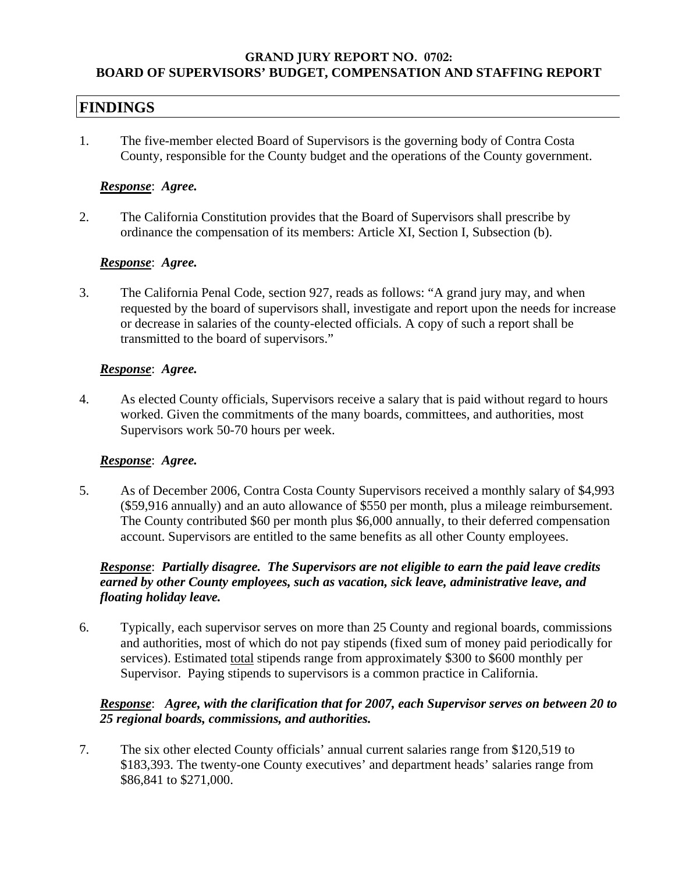### **GRAND JURY REPORT NO. 0702: BOARD OF SUPERVISORS' BUDGET, COMPENSATION AND STAFFING REPORT**

# **FINDINGS**

1. The five-member elected Board of Supervisors is the governing body of Contra Costa County, responsible for the County budget and the operations of the County government.

### *Response*: *Agree.*

2. The California Constitution provides that the Board of Supervisors shall prescribe by ordinance the compensation of its members: Article XI, Section I, Subsection (b).

### *Response*: *Agree.*

3. The California Penal Code, section 927, reads as follows: "A grand jury may, and when requested by the board of supervisors shall, investigate and report upon the needs for increase or decrease in salaries of the county-elected officials. A copy of such a report shall be transmitted to the board of supervisors."

### *Response*: *Agree.*

4. As elected County officials, Supervisors receive a salary that is paid without regard to hours worked. Given the commitments of the many boards, committees, and authorities, most Supervisors work 50-70 hours per week.

### *Response*: *Agree.*

5. As of December 2006, Contra Costa County Supervisors received a monthly salary of \$4,993 (\$59,916 annually) and an auto allowance of \$550 per month, plus a mileage reimbursement. The County contributed \$60 per month plus \$6,000 annually, to their deferred compensation account. Supervisors are entitled to the same benefits as all other County employees.

# *Response*: *Partially disagree. The Supervisors are not eligible to earn the paid leave credits earned by other County employees, such as vacation, sick leave, administrative leave, and floating holiday leave.*

6. Typically, each supervisor serves on more than 25 County and regional boards, commissions and authorities, most of which do not pay stipends (fixed sum of money paid periodically for services). Estimated total stipends range from approximately \$300 to \$600 monthly per Supervisor. Paying stipends to supervisors is a common practice in California.

# *Response*: *Agree, with the clarification that for 2007, each Supervisor serves on between 20 to 25 regional boards, commissions, and authorities.*

7. The six other elected County officials' annual current salaries range from \$120,519 to \$183,393. The twenty-one County executives' and department heads' salaries range from \$86,841 to \$271,000.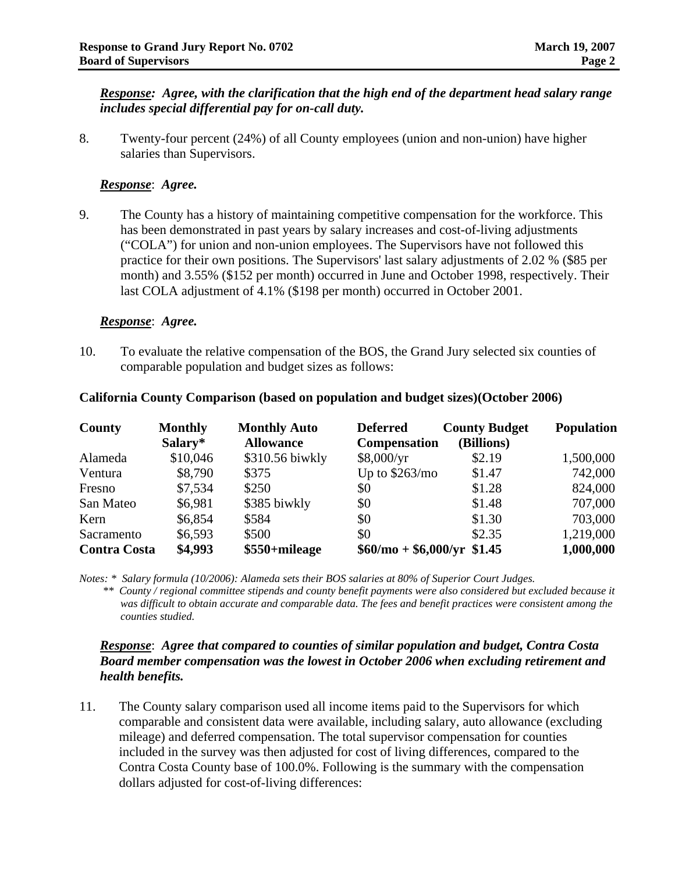### *Response: Agree, with the clarification that the high end of the department head salary range includes special differential pay for on-call duty.*

8. Twenty-four percent (24%) of all County employees (union and non-union) have higher salaries than Supervisors.

# *Response*: *Agree.*

9. The County has a history of maintaining competitive compensation for the workforce. This has been demonstrated in past years by salary increases and cost-of-living adjustments ("COLA") for union and non-union employees. The Supervisors have not followed this practice for their own positions. The Supervisors' last salary adjustments of 2.02 % (\$85 per month) and 3.55% (\$152 per month) occurred in June and October 1998, respectively. Their last COLA adjustment of 4.1% (\$198 per month) occurred in October 2001.

### *Response*: *Agree.*

10. To evaluate the relative compensation of the BOS, the Grand Jury selected six counties of comparable population and budget sizes as follows:

| County              | <b>Monthly</b> | <b>Monthly Auto</b> | <b>Deferred</b>            | <b>County Budget</b> | <b>Population</b> |
|---------------------|----------------|---------------------|----------------------------|----------------------|-------------------|
|                     | Salary*        | <b>Allowance</b>    | <b>Compensation</b>        | (Billions)           |                   |
| Alameda             | \$10,046       | \$310.56 biwkly     | \$8,000/yr                 | \$2.19               | 1,500,000         |
| Ventura             | \$8,790        | \$375               | Up to $$263/mol$           | \$1.47               | 742,000           |
| Fresno              | \$7,534        | \$250               | \$0                        | \$1.28               | 824,000           |
| San Mateo           | \$6,981        | \$385 biwkly        | \$0                        | \$1.48               | 707,000           |
| Kern                | \$6,854        | \$584               | \$0                        | \$1.30               | 703,000           |
| Sacramento          | \$6,593        | \$500               | \$0                        | \$2.35               | 1,219,000         |
| <b>Contra Costa</b> | \$4,993        | \$550+mileage       | $$60/mo + $6,000/yr $1.45$ |                      | 1,000,000         |

### **California County Comparison (based on population and budget sizes)(October 2006)**

*Notes: \* Salary formula (10/2006): Alameda sets their BOS salaries at 80% of Superior Court Judges.* 

 *\*\* County / regional committee stipends and county benefit payments were also considered but excluded because it was difficult to obtain accurate and comparable data. The fees and benefit practices were consistent among the counties studied.* 

## *Response*: *Agree that compared to counties of similar population and budget, Contra Costa Board member compensation was the lowest in October 2006 when excluding retirement and health benefits.*

11. The County salary comparison used all income items paid to the Supervisors for which comparable and consistent data were available, including salary, auto allowance (excluding mileage) and deferred compensation. The total supervisor compensation for counties included in the survey was then adjusted for cost of living differences, compared to the Contra Costa County base of 100.0%. Following is the summary with the compensation dollars adjusted for cost-of-living differences: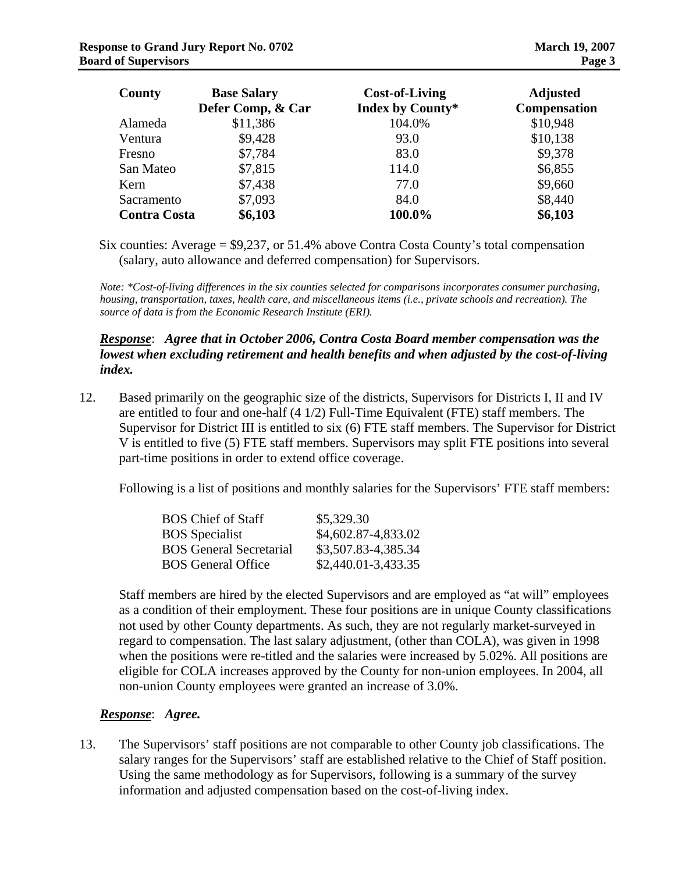| County              | <b>Base Salary</b><br>Defer Comp, & Car | <b>Cost-of-Living</b><br>Index by County* | <b>Adjusted</b><br>Compensation |
|---------------------|-----------------------------------------|-------------------------------------------|---------------------------------|
| Alameda             | \$11,386                                | 104.0%                                    | \$10,948                        |
| Ventura             | \$9,428                                 | 93.0                                      | \$10,138                        |
| Fresno              | \$7,784                                 | 83.0                                      | \$9,378                         |
| San Mateo           | \$7,815                                 | 114.0                                     | \$6,855                         |
| Kern                | \$7,438                                 | 77.0                                      | \$9,660                         |
| Sacramento          | \$7,093                                 | 84.0                                      | \$8,440                         |
| <b>Contra Costa</b> | \$6,103                                 | 100.0%                                    | \$6,103                         |

Six counties: Average = \$9,237, or 51.4% above Contra Costa County's total compensation (salary, auto allowance and deferred compensation) for Supervisors.

*Note: \*Cost-of-living differences in the six counties selected for comparisons incorporates consumer purchasing, housing, transportation, taxes, health care, and miscellaneous items (i.e., private schools and recreation). The source of data is from the Economic Research Institute (ERI).* 

### *Response*: *Agree that in October 2006, Contra Costa Board member compensation was the lowest when excluding retirement and health benefits and when adjusted by the cost-of-living index.*

12. Based primarily on the geographic size of the districts, Supervisors for Districts I, II and IV are entitled to four and one-half (4 1/2) Full-Time Equivalent (FTE) staff members. The Supervisor for District III is entitled to six (6) FTE staff members. The Supervisor for District V is entitled to five (5) FTE staff members. Supervisors may split FTE positions into several part-time positions in order to extend office coverage.

Following is a list of positions and monthly salaries for the Supervisors' FTE staff members:

| <b>BOS</b> Chief of Staff      | \$5,329.30          |
|--------------------------------|---------------------|
| <b>BOS</b> Specialist          | \$4,602.87-4,833.02 |
| <b>BOS</b> General Secretarial | \$3,507.83-4,385.34 |
| <b>BOS</b> General Office      | \$2,440.01-3,433.35 |

Staff members are hired by the elected Supervisors and are employed as "at will" employees as a condition of their employment. These four positions are in unique County classifications not used by other County departments. As such, they are not regularly market-surveyed in regard to compensation. The last salary adjustment, (other than COLA), was given in 1998 when the positions were re-titled and the salaries were increased by 5.02%. All positions are eligible for COLA increases approved by the County for non-union employees. In 2004, all non-union County employees were granted an increase of 3.0%.

### *Response*: *Agree.*

13. The Supervisors' staff positions are not comparable to other County job classifications. The salary ranges for the Supervisors' staff are established relative to the Chief of Staff position. Using the same methodology as for Supervisors, following is a summary of the survey information and adjusted compensation based on the cost-of-living index.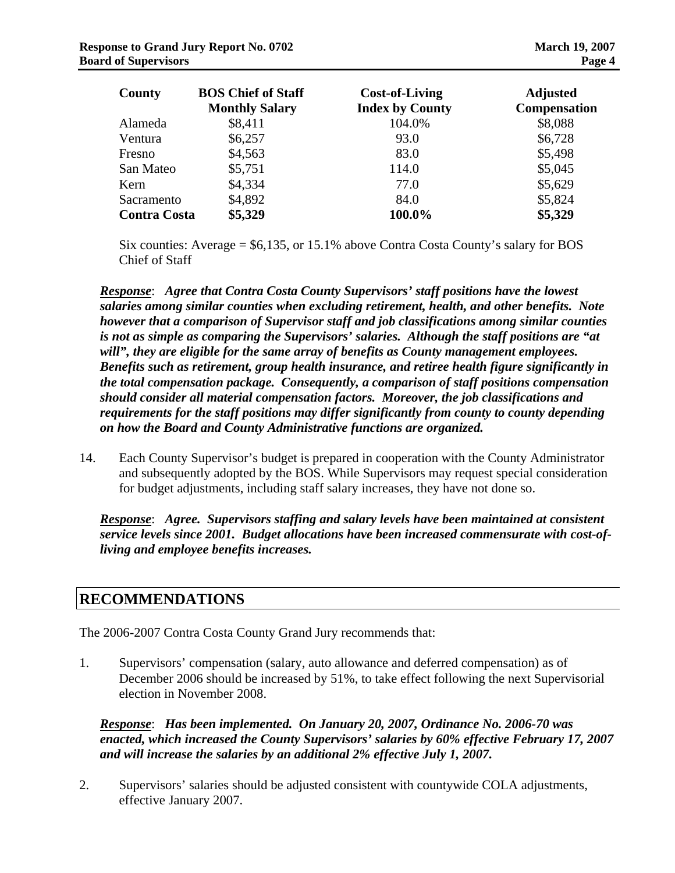| County              | <b>BOS Chief of Staff</b><br><b>Monthly Salary</b> | <b>Cost-of-Living</b><br><b>Index by County</b> | <b>Adjusted</b><br><b>Compensation</b> |
|---------------------|----------------------------------------------------|-------------------------------------------------|----------------------------------------|
| Alameda             | \$8,411                                            | 104.0%                                          | \$8,088                                |
| Ventura             | \$6,257                                            | 93.0                                            | \$6,728                                |
| Fresno              | \$4,563                                            | 83.0                                            | \$5,498                                |
| San Mateo           | \$5,751                                            | 114.0                                           | \$5,045                                |
| Kern                | \$4,334                                            | 77.0                                            | \$5,629                                |
| Sacramento          | \$4,892                                            | 84.0                                            | \$5,824                                |
| <b>Contra Costa</b> | \$5,329                                            | 100.0%                                          | \$5,329                                |

Six counties: Average = \$6,135, or 15.1% above Contra Costa County's salary for BOS Chief of Staff

*Response*: *Agree that Contra Costa County Supervisors' staff positions have the lowest salaries among similar counties when excluding retirement, health, and other benefits. Note however that a comparison of Supervisor staff and job classifications among similar counties is not as simple as comparing the Supervisors' salaries. Although the staff positions are "at will", they are eligible for the same array of benefits as County management employees. Benefits such as retirement, group health insurance, and retiree health figure significantly in the total compensation package. Consequently, a comparison of staff positions compensation should consider all material compensation factors. Moreover, the job classifications and requirements for the staff positions may differ significantly from county to county depending on how the Board and County Administrative functions are organized.* 

14. Each County Supervisor's budget is prepared in cooperation with the County Administrator and subsequently adopted by the BOS. While Supervisors may request special consideration for budget adjustments, including staff salary increases, they have not done so.

*Response*: *Agree. Supervisors staffing and salary levels have been maintained at consistent service levels since 2001. Budget allocations have been increased commensurate with cost-ofliving and employee benefits increases.* 

# **RECOMMENDATIONS**

The 2006-2007 Contra Costa County Grand Jury recommends that:

1. Supervisors' compensation (salary, auto allowance and deferred compensation) as of December 2006 should be increased by 51%, to take effect following the next Supervisorial election in November 2008.

*Response*: *Has been implemented. On January 20, 2007, Ordinance No. 2006-70 was enacted, which increased the County Supervisors' salaries by 60% effective February 17, 2007 and will increase the salaries by an additional 2% effective July 1, 2007.* 

2. Supervisors' salaries should be adjusted consistent with countywide COLA adjustments, effective January 2007.